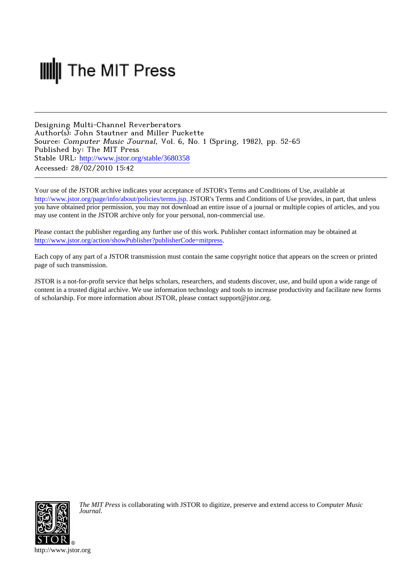# **III** The MIT Press

Designing Multi-Channel Reverberators Author(s): John Stautner and Miller Puckette Source: Computer Music Journal, Vol. 6, No. 1 (Spring, 1982), pp. 52-65 Published by: The MIT Press Stable URL: [http://www.jstor.org/stable/3680358](http://www.jstor.org/stable/3680358?origin=JSTOR-pdf) Accessed: 28/02/2010 15:42

Your use of the JSTOR archive indicates your acceptance of JSTOR's Terms and Conditions of Use, available at <http://www.jstor.org/page/info/about/policies/terms.jsp>. JSTOR's Terms and Conditions of Use provides, in part, that unless you have obtained prior permission, you may not download an entire issue of a journal or multiple copies of articles, and you may use content in the JSTOR archive only for your personal, non-commercial use.

Please contact the publisher regarding any further use of this work. Publisher contact information may be obtained at [http://www.jstor.org/action/showPublisher?publisherCode=mitpress.](http://www.jstor.org/action/showPublisher?publisherCode=mitpress)

Each copy of any part of a JSTOR transmission must contain the same copyright notice that appears on the screen or printed page of such transmission.

JSTOR is a not-for-profit service that helps scholars, researchers, and students discover, use, and build upon a wide range of content in a trusted digital archive. We use information technology and tools to increase productivity and facilitate new forms of scholarship. For more information about JSTOR, please contact support@jstor.org.



*The MIT Press* is collaborating with JSTOR to digitize, preserve and extend access to *Computer Music Journal.*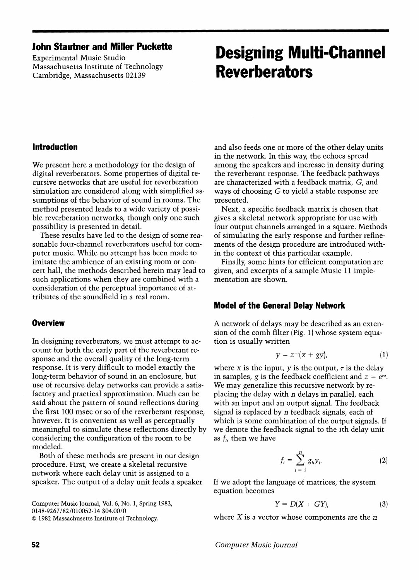# **John Stautner and Miller Puckette**

**Experimental Music Studio Massachusetts Institute of Technology Cambridge, Massachusetts 02139** 

# **Designing Multi-Channel Reverberators**

# **Introduction**

**We present here a methodology for the design of digital reverberators. Some properties of digital recursive networks that are useful for reverberation simulation are considered along with simplified assumptions of the behavior of sound in rooms. The method presented leads to a wide variety of possible reverberation networks, though only one such possibility is presented in detail.** 

**These results have led to the design of some reasonable four-channel reverberators useful for computer music. While no attempt has been made to imitate the ambience of an existing room or concert hall, the methods described herein may lead to such applications when they are combined with a consideration of the perceptual importance of attributes of the soundfield in a real room.** 

#### **Overview**

**In designing reverberators, we must attempt to account for both the early part of the reverberant response and the overall quality of the long-term response. It is very difficult to model exactly the long-term behavior of sound in an enclosure, but use of recursive delay networks can provide a satisfactory and practical approximation. Much can be said about the pattern of sound reflections during the first 100 msec or so of the reverberant response, however. It is convenient as well as perceptually meaningful to simulate these reflections directly by considering the configuration of the room to be modeled.** 

**Both of these methods are present in our design procedure. First, we create a skeletal recursive network where each delay unit is assigned to a speaker. The output of a delay unit feeds a speaker** 

**Computer Music Journal, Vol. 6, No. 1, Spring 1982,** 

**0148-9267/82/010052-14 \$04.00/0** 

**? 1982 Massachusetts Institute of Technology.** 

**and also feeds one or more of the other delay units in the network. In this way, the echoes spread among the speakers and increase in density during the reverberant response. The feedback pathways are characterized with a feedback matrix, G, and ways of choosing G to yield a stable response are presented.** 

**Next, a specific feedback matrix is chosen that gives a skeletal network appropriate for use with four output channels arranged in a square. Methods of simulating the early response and further refinements of the design procedure are introduced within the context of this particular example.** 

**Finally, some hints for efficient computation are given, and excerpts of a sample Music 11 implementation are shown.** 

# **Model of the General Delay Network**

**A network of delays may be described as an extension of the comb filter (Fig. 1) whose system equation is usually written** 

$$
y = z^{-r}(x + gy), \qquad (1)
$$

where x is the input, y is the output,  $\tau$  is the delay in samples, g is the feedback coefficient and  $z = e^{i\omega}$ . **We may generalize this recursive network by replacing the delay with n delays in parallel, each with an input and an output signal. The feedback signal is replaced by n feedback signals, each of which is some combination of the output signals. If we denote the feedback signal to the ith delay unit as f,, then we have** 

$$
f_i = \sum_{j=1}^{n} g_{ij} y_j.
$$
 (2)

**If we adopt the language of matrices, the system equation becomes** 

$$
Y = D(X + GY), \tag{3}
$$

**where X is a vector whose components are the n** 

**52** Computer Music Journal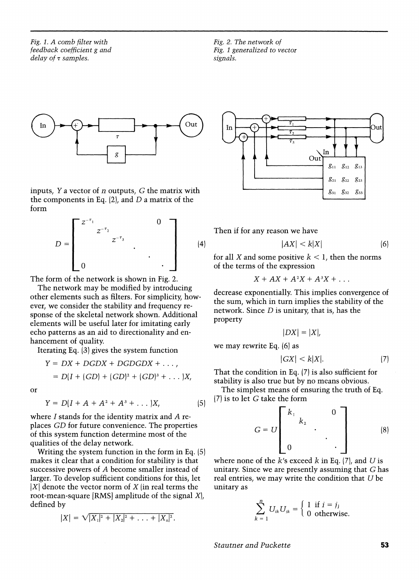**Fig. 1. A comb filter with feedback coefficient g and**  delay of τ samples.

**Fig. 2. The network of Fig. 1 generalized to vector signals.** 



**inputs, Y a vector of n outputs, G the matrix with the components in Eq. (2), and D a matrix of the form** 

$$
D = \begin{bmatrix} z^{-\tau_1} & & & & 0 \\ & z^{-\tau_2} & & & \\ & & z^{-\tau_3} & & \\ & & & & \ddots & \\ 0 & & & & & \end{bmatrix}
$$
 (4)

**The form of the network is shown in Fig. 2.** 

**The network may be modified by introducing other elements such as filters. For simplicity, however, we consider the stability and frequency response of the skeletal network shown. Additional elements will be useful later for imitating early echo patterns as an aid to directionality and enhancement of quality.** 

**Iterating Eq. (3) gives the system function** 

$$
Y = DX + DGDX + DGDGDX + \dots,
$$
  
=  $D(I + (GD) + (GD)^2 + (GD)^3 + \dots)X,$ 

**or** 

$$
Y = D(I + A + A^2 + A^3 + \dots | X, \tag{5}
$$

**where I stands for the identity matrix and A replaces GD for future convenience. The properties of this system function determine most of the qualities of the delay network.** 

**Writing the system function in the form in Eq. (5) makes it clear that a condition for stability is that successive powers of A become smaller instead of larger. To develop sufficient conditions for this, let**   $|X|$  denote the vector norm of X (in real terms the **root-mean-square [RMS] amplitude of the signal X), defined by** 

$$
|X| = \sqrt{|X_1|^2 + |X_2|^2 + \ldots + |X_n|^2}.
$$



**Then if for any reason we have** 

$$
|AX| < k|X| \tag{6}
$$

for all X and some positive  $k < 1$ , then the norms **of the terms of the expression** 

$$
X + AX + A^2X + A^3X + \ldots
$$

**decrease exponentially. This implies convergence of the sum, which in turn implies the stability of the network. Since D is unitary, that is, has the property** 

$$
|DX|=|X|,
$$

**we may rewrite Eq. (6) as** 

$$
|GX| < k|X|. \tag{7}
$$

**That the condition in Eq. (7) is also sufficient for stability is also true but by no means obvious.** 

**The simplest means of ensuring the truth of Eq. (7) is to let G take the form** 

$$
G = U \begin{bmatrix} k_1 & 0 \\ k_2 & \cdot \\ 0 & \cdot & \cdot \end{bmatrix} \tag{8}
$$

**where none of the k's exceed k in Eq. (7), and U is unitary. Since we are presently assuming that G has real entries, we may write the condition that U be unitary as** 

$$
\sum_{k=1}^{n} U_{ik} U_{jk} = \begin{cases} 1 & \text{if } i = j, \\ 0 & \text{otherwise.} \end{cases}
$$

**Stautner and Puckette**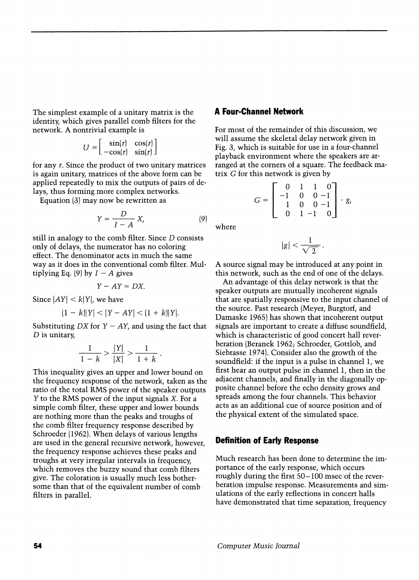**The simplest example of a unitary matrix is the identity, which gives parallel comb filters for the network. A nontrivial example is** 

$$
U = \begin{bmatrix} \sin(r) & \cos(r) \\ -\cos(r) & \sin(r) \end{bmatrix}
$$

**for any r. Since the product of two unitary matrices is again unitary, matrices of the above form can be applied repeatedly to mix the outputs of pairs of delays, thus forming more complex networks.** 

**Equation (3) may now be rewritten as** 

$$
Y = \frac{D}{I - A} X, \tag{9}
$$

**still in analogy to the comb filter. Since D consists only of delays, the numerator has no coloring effect. The denominator acts in much the same way as it does in the conventional comb filter. Mul**tiplying Eq. (9) by  $I - A$  gives

$$
Y - AY = DX.
$$

Since  $|AY| < k|Y|$ , we have

$$
(1 - k||Y| < |Y - AY| < (1 + k||Y|).
$$

Substituting *DX* for  $Y - AY$ , and using the fact that **D is unitary,** 

$$
\frac{1}{1-k} > \frac{|Y|}{|X|} > \frac{1}{1+k}
$$

**This inequality gives an upper and lower bound on the frequency response of the network, taken as the ratio of the total RMS power of the speaker outputs Y to the RMS power of the input signals X. For a simple comb filter, these upper and lower bounds are nothing more than the peaks and troughs of the comb filter frequency response described by Schroeder (1962). When delays of various lengths are used in the general recursive network, however, the frequency response achieves these peaks and troughs at very irregular intervals in frequency, which removes the buzzy sound that comb filters give. The coloration is usually much less bothersome than that of the equivalent number of comb filters in parallel.** 

# **A Four-Channel Network**

**For most of the remainder of this discussion, we will assume the skeletal delay network given in Fig. 3, which is suitable for use in a four-channel playback environment where the speakers are arranged at the corners of a square. The feedback matrix G for this network is given by** 

$$
G = \begin{bmatrix} 0 & 1 & 1 & 0 \\ -1 & 0 & 0 & -1 \\ 1 & 0 & 0 & -1 \\ 0 & 1 & -1 & 0 \end{bmatrix} \cdot g,
$$

**where** 

$$
|g| < \frac{1}{\sqrt{2}} \, .
$$

**A source signal may be introduced at any point in this network, such as the end of one of the delays.** 

**An advantage of this delay network is that the speaker outputs are mutually incoherent signals that are spatially responsive to the input channel of the source. Past research (Meyer, Burgtorf, and Damaske 1965) has shown that incoherent output signals are important to create a diffuse soundfield, which is characteristic of good concert hall reverberation (Beranek 1962; Schroeder, Gottlob, and Siebrasse 1974). Consider also the growth of the soundfield: if the input is a pulse in channel 1, we first hear an output pulse in channel 1, then in the adjacent channels, and finally in the diagonally opposite channel before the echo density grows and spreads among the four channels. This behavior acts as an additional cue of source position and of the physical extent of the simulated space.** 

#### **Definition of Early Response**

**Much research has been done to determine the importance of the early response, which occurs roughly during the first 50-100 msec of the reverberation impulse response. Measurements and simulations of the early reflections in concert halls have demonstrated that time separation, frequency**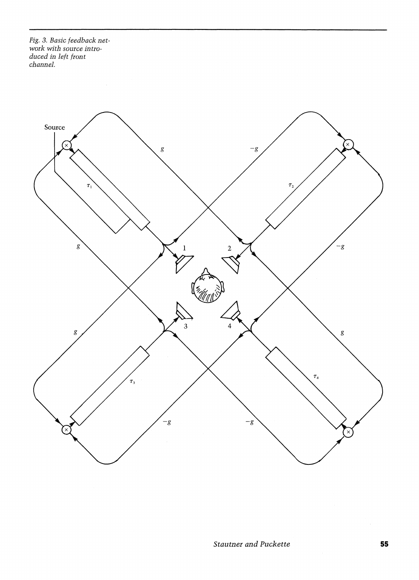**Fig. 3. Basic feedback network with source introduced in left front channel.** 

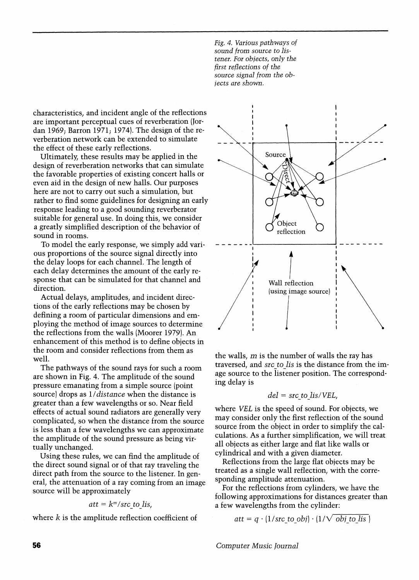**Fig. 4. Various pathways of sound from source to listener. For objects, only the first reflections of the source signal from the objects are shown.** 

**characteristics, and incident angle of the reflections are important perceptual cues of reverberation (Jordan 1969; Barron 1971; 1974). The design of the reverberation network can be extended to simulate the effect of these early reflections.** 

**Ultimately, these results may be applied in the design of reverberation networks that can simulate the favorable properties of existing concert halls or even aid in the design of new halls. Our purposes here are not to carry out such a simulation, but rather to find some guidelines for designing an early response leading to a good sounding reverberator suitable for general use. In doing this, we consider a greatly simplified description of the behavior of sound in rooms.** 

**To model the early response, we simply add various proportions of the source signal directly into the delay loops for each channel. The length of each delay determines the amount of the early response that can be simulated for that channel and direction.** 

**Actual delays, amplitudes, and incident directions of the early reflections may be chosen by defining a room of particular dimensions and employing the method of image sources to determine the reflections from the walls (Moorer 1979). An enhancement of this method is to define objects in the room and consider reflections from them as well.** 

**The pathways of the sound rays for such a room are shown in Fig. 4. The amplitude of the sound pressure emanating from a simple source (point source) drops as I/distance when the distance is greater than a few wavelengths or so. Near field effects of actual sound radiators are generally very complicated, so when the distance from the source is less than a few wavelengths we can approximate the amplitude of the sound pressure as being virtually unchanged.** 

**Using these rules, we can find the amplitude of the direct sound signal or of that ray traveling the direct path from the source to the listener. In general, the attenuation of a ray coming from an image source will be approximately** 

$$
att = k^m / src\_to\_lis,
$$

**where k is the amplitude reflection coefficient of** 



**the walls, m is the number of walls the ray has traversed, and src to lis is the distance from the image source to the listener position. The corresponding delay is** 

$$
del = src_to lis/VEL,
$$

**where VEL is the speed of sound. For objects, we may consider only the first reflection of the sound source from the object in order to simplify the calculations. As a further simplification, we will treat all objects as either large and flat like walls or cylindrical and with a given diameter.** 

**Reflections from the large flat objects may be treated as a single wall reflection, with the corresponding amplitude attenuation.** 

**For the reflections from cylinders, we have the following approximations for distances greater than a few wavelengths from the cylinder:** 

 $att = q \cdot (1/src_to_obj) \cdot (1/\sqrt{obj\ to\ lis})$ 

**Computer Music Journal**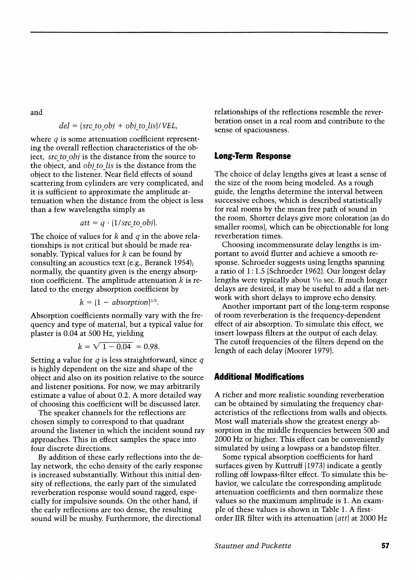**and** 

$$
del = (src_to_of_j + obj_to_list)/VEL,
$$

where *q* is some attenuation coefficient represent**ing the overall reflection characteristics of the object, src to obj is the distance from the source to**  the object, and *obj* to *lis* is the distance from the **object to the listener. Near field effects of sound scattering from cylinders are very complicated, and it is sufficient to approximate the amplitude attenuation when the distance from the object is less than a few wavelengths simply as** 

$$
att = q \cdot (1/src_to_obj).
$$

**The choice of values for k and q in the above relationships is not critical but should be made reasonably. Typical values for k can be found by consulting an acoustics text (e.g., Beranek 1954); normally, the quantity given is the energy absorption coefficient. The amplitude attenuation k is related to the energy absorption coefficient by** 

$$
k = (1 - absorption)^{1/2}.
$$

**Absorption coefficients normally vary with the frequency and type of material, but a typical value for plaster is 0.04 at 500 Hz, yielding** 

$$
k=\sqrt{1-0.04}\,=0.98.
$$

**Setting a value for q is less straightforward, since q is highly dependent on the size and shape of the object and also on its position relative to the source and listener positions. For now, we may arbitrarily estimate a value of about 0.2. A more detailed way of choosing this coefficient will be discussed later.** 

**The speaker channels for the reflections are chosen simply to correspond to that quadrant around the listener in which the incident sound ray approaches. This in effect samples the space into four discrete directions.** 

**By addition of these early reflections into the delay network, the echo density of the early response is increased substantially. Without this initial density of reflections, the early part of the simulated reverberation response would sound ragged, especially for impulsive sounds. On the other hand, if the early reflections are too dense, the resulting sound will be mushy. Furthermore, the directional** 

**relationships of the reflections resemble the reverberation onset in a real room and contribute to the sense of spaciousness.** 

### **Long-Term Response**

**The choice of delay lengths gives at least a sense of the size of the room being modeled. As a rough guide, the lengths determine the interval between successive echoes, which is described statistically for real rooms by the mean free path of sound in the room. Shorter delays give more coloration (as do smaller rooms), which can be objectionable for long reverberation times.** 

**Choosing incommensurate delay lengths is important to avoid flutter and achieve a smooth response. Schroeder suggests using lengths spanning a ratio of 1:1.5 (Schroeder 1962). Our longest delay**  lengths were typically about  $\frac{1}{10}$  sec. If much longer **delays are desired, it may be useful to add a flat network with short delays to improve echo density.** 

**Another important part of the long-term response of room reverberation is the frequency-dependent effect of air absorption. To simulate this effect, we insert lowpass filters at the output of each delay. The cutoff frequencies of the filters depend on the length of each delay (Moorer 1979).** 

# **Additional Modifications**

**A richer and more realistic sounding reverberation can be obtained by simulating the frequency characteristics of the reflections from walls and objects. Most wall materials show the greatest energy absorption in the middle frequencies between 500 and 2000 Hz or higher. This effect can be conveniently simulated by using a lowpass or a bandstop filter.** 

**Some typical absorption coefficients for hard surfaces given by Kuttruff (1973) indicate a gently rolling off lowpass-filter effect. To simulate this behavior, we calculate the corresponding amplitude attenuation coefficients and then normalize these values so the maximum amplitude is 1. An example of these values is shown in Table 1. A firstorder IIR filter with its attenuation (att) at 2000 Hz**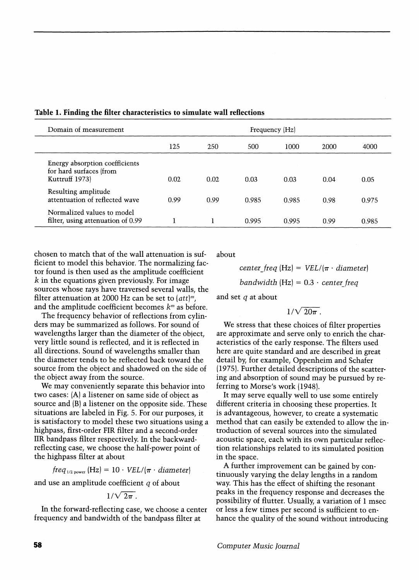| ີ                                                                           |      |      |       |                |      |       |
|-----------------------------------------------------------------------------|------|------|-------|----------------|------|-------|
| Domain of measurement                                                       |      |      |       | Frequency (Hz) |      |       |
|                                                                             | 125  | 250  | 500   | 1000           | 2000 | 4000  |
| Energy absorption coefficients<br>for hard surfaces (from<br>Kuttruff 1973) | 0.02 | 0.02 | 0.03  | 0.03           | 0.04 | 0.05  |
| Resulting amplitude<br>attentuation of reflected wave                       | 0.99 | 0.99 | 0.985 | 0.985          | 0.98 | 0.975 |
| Normalized values to model<br>filter, using attenuation of 0.99             |      |      | 0.995 | 0.995          | 0.99 | 0.985 |

**Table 1. Finding the filter characteristics to simulate wall reflections** 

**chosen to match that of the wall attenuation is sufficient to model this behavior. The normalizing factor found is then used as the amplitude coefficient k in the equations given previously. For image sources whose rays have traversed several walls, the filter attenuation at 2000 Hz can be set to**  $(\text{att})^m$ **, and the amplitude coefficient becomes km as before.** 

**The frequency behavior of reflections from cylinders may be summarized as follows. For sound of wavelengths larger than the diameter of the object, very little sound is reflected, and it is reflected in all directions. Sound of wavelengths smaller than the diameter tends to be reflected back toward the source from the object and shadowed on the side of the object away from the source.** 

**We may conveniently separate this behavior into two cases: (A) a listener on same side of object as source and (B) a listener on the opposite side. These situations are labeled in Fig. 5. For our purposes, it is satisfactory to model these two situations using a highpass, first-order FIR filter and a second-order IIR bandpass filter respectively. In the backwardreflecting case, we choose the half-power point of the highpass filter at about** 

 $freq_{1/2\ power}$   $(Hz) = 10 \cdot VEL/(\pi \cdot diameter)$ 

**and use an amplitude coefficient q of about** 

$$
1/\sqrt{2\pi}
$$

**In the forward-reflecting case, we choose a center frequency and bandwidth of the bandpass filter at** 

**about** 

 $center_{\text{freq}}$  (Hz) =  $VEL/(\pi \cdot diameter)$ 

 $bandwidth$   $(Hz) = 0.3$   $\cdot$  center freq

**and set q at about** 

$$
1/\sqrt{20\pi}
$$

**We stress that these choices of filter properties are approximate and serve only to enrich the characteristics of the early response. The filters used here are quite standard and are described in great detail by, for example, Oppenheim and Schafer (1975). Further detailed descriptions of the scattering and absorption of sound may be pursued by referring to Morse's work (1948).** 

**It may serve equally well to use some entirely different criteria in choosing these properties. It is advantageous, however, to create a systematic method that can easily be extended to allow the introduction of several sources into the simulated acoustic space, each with its own particular reflection relationships related to its simulated position in the space.** 

**A further improvement can be gained by continuously varying the delay lengths in a random way. This has the effect of shifting the resonant peaks in the frequency response and decreases the possibility of flutter. Usually, a variation of 1 msec or less a few times per second is sufficient to enhance the quality of the sound without introducing**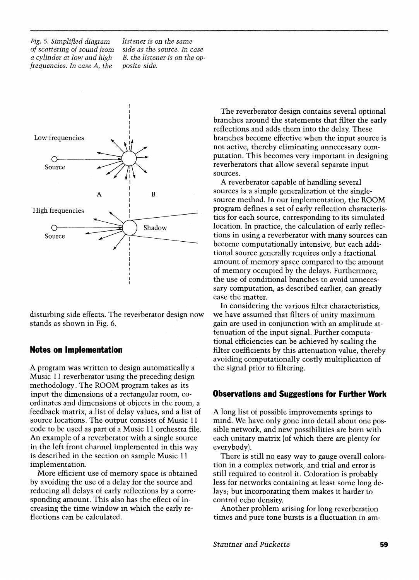**Fig. 5. Simplified diagram of scattering of sound from a cylinder at low and high frequencies. In case A, the** 

**listener is on the same side as the source. In case B, the listener is on the opposite side.** 

**I** 



**disturbing side effects. The reverberator design now stands as shown in Fig. 6.** 

#### **Notes on Implementation**

**A program was written to design automatically a Music 11 reverberator using the preceding design methodology. The ROOM program takes as its input the dimensions of a rectangular room, coordinates and dimensions of objects in the room, a feedback matrix, a list of delay values, and a list of source locations. The output consists of Music 11 code to be used as part of a Music 11 orchestra file. An example of a reverberator with a single source in the left front channel implemented in this way is described in the section on sample Music 11 implementation.** 

**More efficient use of memory space is obtained by avoiding the use of a delay for the source and reducing all delays of early reflections by a corresponding amount. This also has the effect of increasing the time window in which the early reflections can be calculated.** 

**The reverberator design contains several optional branches around the statements that filter the early reflections and adds them into the delay. These branches become effective when the input source is not active, thereby eliminating unnecessary computation. This becomes very important in designing reverberators that allow several separate input sources.** 

**A reverberator capable of handling several sources is a simple generalization of the singlesource method. In our implementation, the ROOM program defines a set of early reflection characteristics for each source, corresponding to its simulated location. In practice, the calculation of early reflections in using a reverberator with many sources can become computationally intensive, but each additional source generally requires only a fractional amount of memory space compared to the amount of memory occupied by the delays. Furthermore, the use of conditional branches to avoid unnecessary computation, as described earlier, can greatly ease the matter.** 

**In considering the various filter characteristics, we have assumed that filters of unity maximum gain are used in conjunction with an amplitude attenuation of the input signal. Further computational efficiencies can be achieved by scaling the filter coefficients by this attenuation value, thereby avoiding computationally costly multiplication of the signal prior to filtering.** 

#### **Observations and Suggestions for Further Work**

**A long list of possible improvements springs to mind. We have only gone into detail about one possible network, and new possibilities are born with each unitary matrix (of which there are plenty for everybody).** 

**There is still no easy way to gauge overall coloration in a complex network, and trial and error is still required to control it. Coloration is probably less for networks containing at least some long delays; but incorporating them makes it harder to control echo density.** 

**Another problem arising for long reverberation times and pure tone bursts is a fluctuation in am-**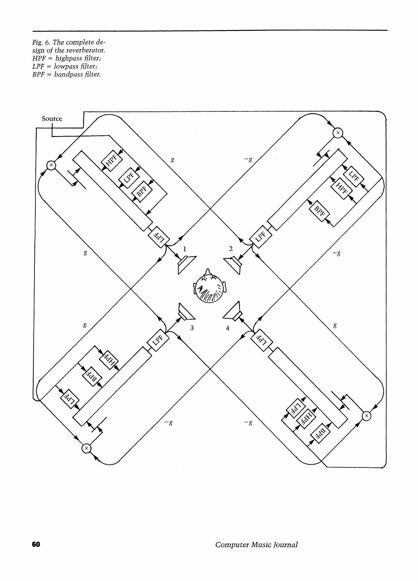**Fig. 6. The complete design of the reverberator. HPF = highpass filter; LPF = lowpass filter; BPF = bandpass filter.** 

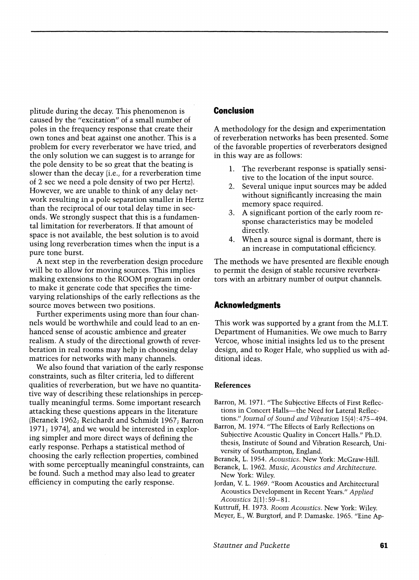**plitude during the decay. This phenomenon is caused by the "excitation" of a small number of poles in the frequency response that create their own tones and beat against one another. This is a problem for every reverberator we have tried, and the only solution we can suggest is to arrange for the pole density to be so great that the beating is slower than the decay (i.e., for a reverberation time of 2 sec we need a pole density of two per Hertz). However, we are unable to think of any delay network resulting in a pole separation smaller in Hertz than the reciprocal of our total delay time in seconds. We strongly suspect that this is a fundamental limitation for reverberators. If that amount of space is not available, the best solution is to avoid using long reverberation times when the input is a pure tone burst.** 

**A next step in the reverberation design procedure will be to allow for moving sources. This implies making extensions to the ROOM program in order to make it generate code that specifies the timevarying relationships of the early reflections as the source moves between two positions.** 

**Further experiments using more than four channels would be worthwhile and could lead to an enhanced sense of acoustic ambience and greater realism. A study of the directional growth of reverberation in real rooms may help in choosing delay matrices for networks with many channels.** 

**We also found that variation of the early response constraints, such as filter criteria, led to different qualities of reverberation, but we have no quantitative way of describing these relationships in perceptually meaningful terms. Some important research attacking these questions appears in the literature (Beranek 1962; Reichardt and Schmidt 1967; Barron 1971; 1974), and we would be interested in exploring simpler and more direct ways of defining the early response. Perhaps a statistical method of choosing the early reflection properties, combined with some perceptually meaningful constraints, can be found. Such a method may also lead to greater efficiency in computing the early response.** 

### **Conclusion**

**I** 

**A methodology for the design and experimentation of reverberation networks has been presented. Some of the favorable properties of reverberators designed in this way are as follows:** 

- **1. The reverberant response is spatially sensitive to the location of the input source.**
- **2. Several unique input sources may be added without significantly increasing the main memory space required.**
- **3. A significant portion of the early room response characteristics may be modeled directly.**
- **4. When a source signal is dormant, there is an increase in computational efficiency.**

**The methods we have presented are flexible enough to permit the design of stable recursive reverberators with an arbitrary number of output channels.** 

# **Acknowledgments**

**This work was supported by a grant from the M.I.T. Department of Humanities. We owe much to Barry Vercoe, whose initial insights led us to the present design, and to Roger Hale, who supplied us with additional ideas.** 

#### **References**

- **Barron, M. 1971. "The Subjective Effects of First Reflec**tions in Concert Halls-the Need for Lateral Reflec**tions." Journal of Sound and Vibration 15(4):475-494.**
- **Barron, M. 1974. "The Effects of Early Reflections on Subjective Acoustic Quality in Concert Halls." Ph.D. thesis, Institute of Sound and Vibration Research, University of Southampton, England.**
- **Beranek, L. 1954. Acoustics. New York: McGraw-Hill.**
- **Beranek, L. 1962. Music, Acoustics and Architecture. New York: Wiley.**
- **Jordan, V. L. 1969. "Room Acoustics and Architectural Acoustics Development in Recent Years." Applied Acoustics 2(1):59-81.**
- **Kuttruff, H. 1973. Room Acoustics. New York: Wiley.**
- **Meyer, E., W. Burgtorf, and P. Damaske. 1965. "Eine Ap-**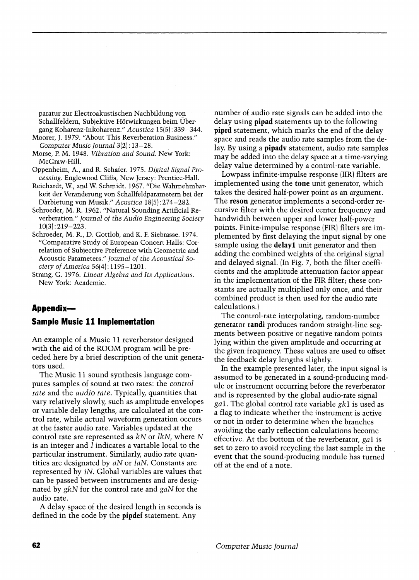**paratur zur Electroakustischen Nachbildung von**  Schallfeldern, Subjektive Hörwirkungen beim Uber**gang Koharenz-Inkoharenz." Acustica 15(5):339-344.** 

**Moorer, J. 1979. "About This Reverberation Business." Computer Music Journal 3(2): 13-28.** 

**"-C11** 

- **Morse, P. M. 1948. Vibration and Sound. New York: McGraw-Hill.**
- **Oppenheim, A., and R. Schafer. 1975. Digital Signal Processing. Englewood Cliffs, New Jersey: Prentice-Hall.**
- **Reichardt, W., and W. Schmidt. 1967. "Die Wahrnehmbarkeit der Veranderung von Schallfeldparametern bei der Darbietung von Musik." Acustica 18(5):274-282.**
- **Schroeder, M. R. 1962. "Natural Sounding Artificial Reverberation." Journal of the Audio Engineering Society 10(3): 219-223.**
- **Schroeder, M. R., D. Gottlob, and K. F. Siebrasse. 1974. "Comparative Study of European Concert Halls: Correlation of Subjective Preference with Geometric and Acoustic Parameters." Journal of the Acoustical So-**

**ciety of America 56(4): 1195-1201.** 

**Strang, G. 1976. Linear Algebra and Its Applications. New York: Academic.** 

# **Appendix-**

#### **Sample Music 11 Implementation**

**An example of a Music 11 reverberator designed with the aid of the ROOM program will be preceded here by a brief description of the unit generators used.** 

**The Music 11 sound synthesis language computes samples of sound at two rates: the control rate and the audio rate. Typically, quantities that vary relatively slowly, such as amplitude envelopes or variable delay lengths, are calculated at the control rate, while actual waveform generation occurs at the faster audio rate. Variables updated at the control rate are represented as kN or lkN, where N is an integer and 1 indicates a variable local to the particular instrument. Similarly, audio rate quantities are designated by aN or laN. Constants are represented by iN. Global variables are values that can be passed between instruments and are designated by gkN for the control rate and gaN for the audio rate.** 

**A delay space of the desired length in seconds is defined in the code by the pipdef statement. Any** 

**number of audio rate signals can be added into the delay using pipad statements up to the following piprd statement, which marks the end of the delay space and reads the audio rate samples from the delay. By using a pipadv statement, audio rate samples may be added into the delay space at a time-varying delay value determined by a control-rate variable.** 

**Lowpass infinite-impulse response (IIR) filters are implemented using the tone unit generator, which takes the desired half-power point as an argument. The reson generator implements a second-order recursive filter with the desired center frequency and bandwidth between upper and lower half-power points. Finite-impulse response (FIR) filters are implemented by first delaying the input signal by one sample using the delayl unit generator and then adding the combined weights of the original signal and delayed signal. (In Fig. 7, both the filter coefficients and the amplitude attenuation factor appear in the implementation of the FIR filter; these constants are actually multiplied only once, and their combined product is then used for the audio rate calculations.)** 

**The control-rate interpolating, random-number generator randi produces random straight-line segments between positive or negative random points lying within the given amplitude and occurring at the given frequency. These values are used to offset the feedback delay lengths slightly.** 

**In the example presented later, the input signal is assumed to be generated in a sound-producing module or instrument occurring before the reverberator and is represented by the global audio-rate signal gal. The global control rate variable gk 1 is used as a flag to indicate whether the instrument is active or not in order to determine when the branches avoiding the early reflection calculations become effective. At the bottom of the reverberator, gal is set to zero to avoid recycling the last sample in the event that the sound-producing module has turned off at the end of a note.**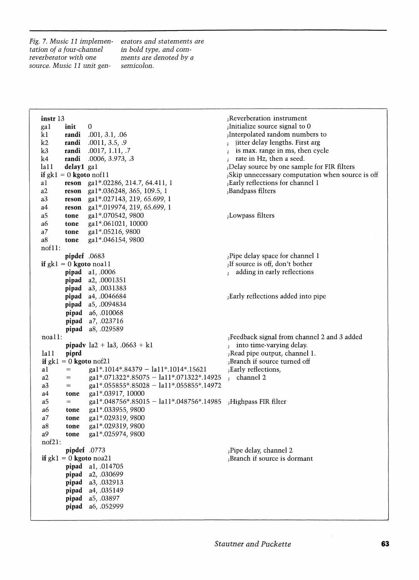Fig. 7. Music 11 implemen- erators and statements are **tation of a four-channel reverberator with one source. Music 11 unit gen-**

**in bold type, and comments are denoted by a semicolon.** 

| instr 13        |                          |                                            | ;Reverberation instrument                        |
|-----------------|--------------------------|--------------------------------------------|--------------------------------------------------|
| ga1             | init                     | 0                                          | ¡Initialize source signal to 0                   |
| k1              | randi                    | .001, 3.1, .06                             | ¡Interpolated random numbers to                  |
| k2              | randi                    | .0011, 3.5, .9                             | jitter delay lengths. First arg                  |
| k3              | randi                    | .0017, 1.11, .7                            | is max. range in ms, then cycle                  |
| k4              | randi                    | .0006, 3.973, .3                           | rate in Hz, then a seed.                         |
| $l$ all         | delay1 gal               |                                            | ¡Delay source by one sample for FIR filters      |
|                 | if $gk1 = 0$ kgoto nof11 |                                            | ;Skip unnecessary computation when source is off |
| al              |                          | reson gal*.02286, 214.7, 64.411, 1         | ¿Early reflections for channel 1                 |
| a2              |                          | reson ga1*.036248, 365, 109.5, 1           | Bandpass filters                                 |
| a3              | reson                    | ga1*.027143, 219, 65.699, 1                |                                                  |
| a4              | reson                    | ga1*.019974, 219, 65.699, 1                |                                                  |
| a5              | tone                     | ga1*.070542, 9800                          | ¿Lowpass filters                                 |
| a6              | tone                     | ga1*.061021, 10000                         |                                                  |
| a7              | tone                     | ga1*.05216, 9800                           |                                                  |
| a8              | tone                     | ga1*.046154, 9800                          |                                                  |
| $nof 11$ :      |                          |                                            |                                                  |
|                 | pipdef .0683             |                                            | ¡Pipe delay space for channel 1                  |
|                 |                          | if $gk1 = 0$ kgoto noall                   | ¡If source is off, don't bother                  |
|                 |                          | pipad $a1, .0006$                          | adding in early reflections                      |
|                 |                          | pipad a2, .0001351                         |                                                  |
|                 |                          | pipad a3, .0031383                         |                                                  |
|                 |                          | pipad a4, .0046684                         | ¡Early reflections added into pipe               |
|                 |                          | pipad a5, 0094834                          |                                                  |
|                 |                          | pipad a6, 010068                           |                                                  |
|                 | pipad                    | a7, .023716                                |                                                  |
|                 |                          | pipad a8, 029589                           |                                                  |
| noall:          |                          |                                            | ¡Feedback signal from channel 2 and 3 added      |
|                 |                          | <b>pipadv</b> $1a2 + 1a3$ , $.0663 + k1$   | ; into time-varying delay.                       |
| $l$ a $l$ $l$   | piprd                    |                                            | ,Read pipe output, channel 1.                    |
|                 |                          | if $gk1 = 0$ kgoto nof21                   | Branch if source turned off                      |
| a1              | $=$                      | ga1*.1014*.84379 - la11*.1014*.15621       | , Early reflections,                             |
| a2              | $=$                      | $ga1*.071322*.85075 - la11*.071322*.14925$ | ; channel 2                                      |
| a3              | $=$                      | ga1*.055855*.85028 - la11*.055855*.14972   |                                                  |
| a4              | tone                     | ga1*.03917, 10000                          |                                                  |
| a5              | $=$                      | ga1*.048756*.85015 - la11*.048756*.14985   | ¡Highpass FIR filter                             |
| a6              | tone                     | ga1*.033955, 9800                          |                                                  |
| a7              | tone                     | ga1*.029319, 9800                          |                                                  |
| a8              | tone                     | ga1*.029319, 9800                          |                                                  |
| a9              | tone                     | ga1*.025974, 9800                          |                                                  |
| $\text{nof21}:$ | pipdef .0773             |                                            | ,Pipe delay, channel 2                           |
|                 |                          | if $gk1 = 0$ kgoto noa21                   | ;Branch if source is dormant                     |
|                 |                          | pipad a1, .014705                          |                                                  |
|                 |                          | pipad a2, .030699                          |                                                  |
|                 | pipad                    | a3, .032913                                |                                                  |
|                 | pipad                    | a4, .035149                                |                                                  |
|                 | pipad                    | a5, .03897                                 |                                                  |
|                 | pipad                    | a6, .052999                                |                                                  |
|                 |                          |                                            |                                                  |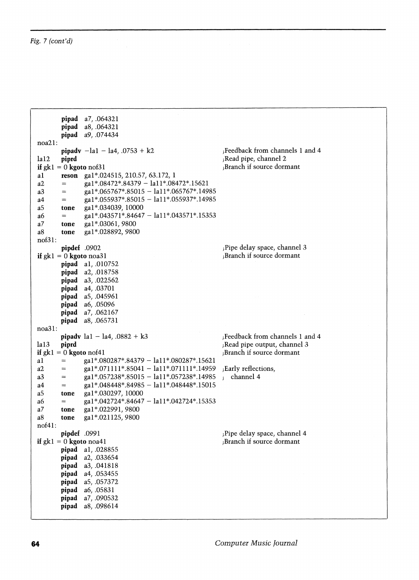```
pipad 
a7, .064321 
        pipad 
a8, .064321 
        pipad 
a9, .074434 
noa21: 
        pipadv -la1 - la4, .0753 + k2
1a12 piprd 
if gkl = 0 kgoto nof31<br>al reson ga1*.02al reson gal*.024515, 210.57, 63.172, 1 
        = gal*.08472*.84379 - lall*.08472*.15621
a3 = gal*.065767*.85015 - lall*.065767*.14985<br>a4 = gal*.055937*.85015 - lall*.055937*.14985
        = gal*.055937*.85015 - lall*.055937*.14985
a5 tone gal*.034039, 10000 
a6 - gal*.043571*.84647 - lall*.043571*.15353 
a7 tone gal*.03061, 9800 
                a8 tone gal*.028892, 9800 
nof3 1: 
        pipdef .0902 
if gk1 = 0 kgoto noa31
        pipad al, .010752 
        pipad a2,.018758 
        pipad a3,.022562 
        pipad a4, 03701<br>pipad a5, 04596
               pipad a5,.045961 
        pipad a6,.05096 
        pipad a7,.062167 
        pipad a8,.065731 
noa3l: 
        pipadv \text{la} 1 - \text{la} 4, .0882 + k3
1a13 piprd 
if gkl = 0 kgoto nof41<br>al = gal*.08
                al - gal*.080287*.84379 - lall*.080287*.15621 
a2 - gal*.071111*.85041 - lall*.071111*.14959 
a3 = gal*.057238*.85015 - lall*.057238*.14985 
a4 - gal*.048448*.84985 - lall*.048448*.15015 
a5 tone gal*.030297, 10000<br>a6 = gal*.042724*.84647
        = gal*.042724*.84647 - lall*.042724*.15353
a7 tone gal*.022991, 9800 
               a8 tone gal*.021125, 9800 
nof4l: 
        pipdef .0991 
if gk1 = 0 kgoto noa41
        pipad al, .028855 
        pipad a2,.033654 
        pipad a3,.041818 
        pipad a4,.053455 
        pipad a5, .057372 
        pipad a6,.05831 
        pipad a7,.090532 
        pipad a8,.098614 
                                                              ;Feedback from channels 1 and 4 
                                                              ;Read pipe, channel 2 
                                                              ;Branch if source dormant 
                                                              ;Pipe delay space, channel 3 
                                                              ;Branch if source dormant 
                                                              ;Feedback from channels 1 and 4 
                                                              ;Read pipe output, channel 3 
                                                               ;Branch if source dormant 
                                                              ;Early reflections, 
                                                              ; channel 4 
                                                              ;Pipe delay space, channel 4 
                                                              ;Branch if source dormant
```